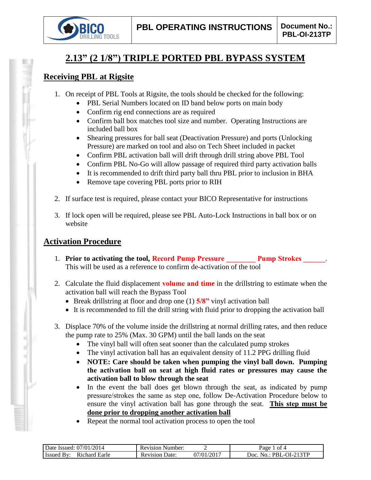

# **2.13" (2 1/8") TRIPLE PORTED PBL BYPASS SYSTEM**

## **Receiving PBL at Rigsite**

- 1. On receipt of PBL Tools at Rigsite, the tools should be checked for the following:
	- PBL Serial Numbers located on ID band below ports on main body
	- Confirm rig end connections are as required
	- Confirm ball box matches tool size and number. Operating Instructions are included ball box
	- Shearing pressures for ball seat (Deactivation Pressure) and ports (Unlocking Pressure) are marked on tool and also on Tech Sheet included in packet
	- Confirm PBL activation ball will drift through drill string above PBL Tool
	- Confirm PBL No-Go will allow passage of required third party activation balls
	- It is recommended to drift third party ball thru PBL prior to inclusion in BHA
	- Remove tape covering PBL ports prior to RIH
- 2. If surface test is required, please contact your BICO Representative for instructions
- 3. If lock open will be required, please see PBL Auto-Lock Instructions in ball box or on website

## **Activation Procedure**

- 1. **Prior to activating the tool, Record Pump Pressure Pump Strokes 2. Pump Strokes** This will be used as a reference to confirm de-activation of the tool
- 2. Calculate the fluid displacement **volume and time** in the drillstring to estimate when the activation ball will reach the Bypass Tool
	- Break drillstring at floor and drop one (1) **5/8"** vinyl activation ball
	- It is recommended to fill the drill string with fluid prior to dropping the activation ball
- 3. Displace 70% of the volume inside the drillstring at normal drilling rates, and then reduce the pump rate to 25% (Max. 30 GPM) until the ball lands on the seat
	- The vinyl ball will often seat sooner than the calculated pump strokes
	- The vinyl activation ball has an equivalent density of 11.2 PPG drilling fluid
	- **NOTE: Care should be taken when pumping the vinyl ball down. Pumping the activation ball on seat at high fluid rates or pressures may cause the activation ball to blow through the seat**
	- In the event the ball does get blown through the seat, as indicated by pump pressure/strokes the same as step one, follow De-Activation Procedure below to ensure the vinyl activation ball has gone through the seat. **This step must be done prior to dropping another activation ball**
	- Repeat the normal tool activation process to open the tool

| /2014<br>07/01<br>Date<br>lssued. | Number:<br>Revision     |                     | ΩŤ<br>Ряое               |
|-----------------------------------|-------------------------|---------------------|--------------------------|
| Earle<br>∽haro                    | Jate:<br>evisior.<br>ĸ۱ | $\sqrt{201}$<br>ר∩י | $2$ TD<br>JOC<br>.<br>◝◠ |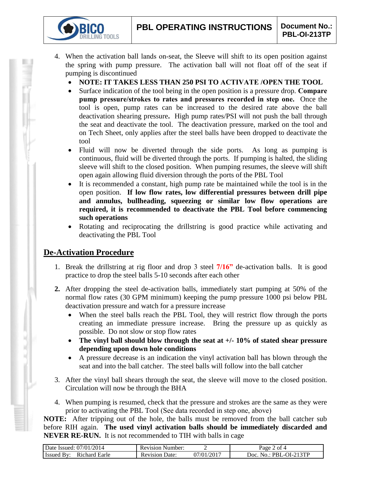- 4. When the activation ball lands on-seat, the Sleeve will shift to its open position against the spring with pump pressure. The activation ball will not float off of the seat if pumping is discontinued
	- **NOTE: IT TAKES LESS THAN 250 PSI TO ACTIVATE /OPEN THE TOOL**
	- Surface indication of the tool being in the open position is a pressure drop. **Compare pump pressure/strokes to rates and pressures recorded in step one.** Once the tool is open, pump rates can be increased to the desired rate above the ball deactivation shearing pressure**.** High pump rates/PSI will not push the ball through the seat and deactivate the tool. The deactivation pressure, marked on the tool and on Tech Sheet, only applies after the steel balls have been dropped to deactivate the tool
	- Fluid will now be diverted through the side ports. As long as pumping is continuous, fluid will be diverted through the ports. If pumping is halted, the sliding sleeve will shift to the closed position. When pumping resumes, the sleeve will shift open again allowing fluid diversion through the ports of the PBL Tool
	- It is recommended a constant, high pump rate be maintained while the tool is in the open position. **If low flow rates, low differential pressures between drill pipe and annulus, bullheading, squeezing or similar low flow operations are required, it is recommended to deactivate the PBL Tool before commencing such operations**
	- Rotating and reciprocating the drillstring is good practice while activating and deactivating the PBL Tool

## **De-Activation Procedure**

**TOOLS** 

- 1. Break the drillstring at rig floor and drop 3 steel **7/16"** de-activation balls. It is good practice to drop the steel balls 5-10 seconds after each other
- **2.** After dropping the steel de-activation balls, immediately start pumping at 50% of the normal flow rates (30 GPM minimum) keeping the pump pressure 1000 psi below PBL deactivation pressure and watch for a pressure increase
	- When the steel balls reach the PBL Tool, they will restrict flow through the ports creating an immediate pressure increase. Bring the pressure up as quickly as possible. Do not slow or stop flow rates
	- **The vinyl ball should blow through the seat at +/- 10% of stated shear pressure depending upon down hole conditions**
	- A pressure decrease is an indication the vinyl activation ball has blown through the seat and into the ball catcher. The steel balls will follow into the ball catcher
- 3. After the vinyl ball shears through the seat, the sleeve will move to the closed position. Circulation will now be through the BHA
- 4. When pumping is resumed, check that the pressure and strokes are the same as they were prior to activating the PBL Tool (See data recorded in step one, above)

**NOTE:** After tripping out of the hole, the balls must be removed from the ball catcher sub before RIH again. **The used vinyl activation balls should be immediately discarded and NEVER RE-RUN.** It is not recommended to TIH with balls in cage

| Date Issued: 07/01/2014          | <b>Revision Number:</b>  |                          | of 4<br>Page                       |
|----------------------------------|--------------------------|--------------------------|------------------------------------|
| Issued<br>Richard Earle<br>⊥ Bv' | Date:<br><b>Revision</b> | $1/01/201$ <sup>-1</sup> | ∟-OI-213ТР<br>No · PRI<br>$"$ Doc. |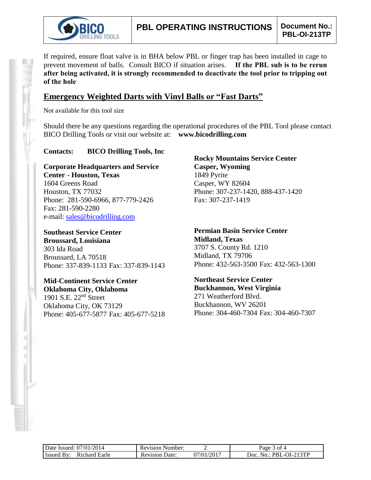

If required, ensure float valve is in BHA below PBL or finger trap has been installed in cage to prevent movement of balls. Consult BICO if situation arises. **If the PBL sub is to be rerun after being activated, it is strongly recommended to deactivate the tool prior to tripping out of the hole**

### **Emergency Weighted Darts with Vinyl Balls or "Fast Darts"**

Not available for this tool size

Should there be any questions regarding the operational procedures of the PBL Tool please contact BICO Drilling Tools or visit our website at: **www.bicodrilling.com**

#### **Contacts: BICO Drilling Tools, Inc**

**Corporate Headquarters and Service Center - Houston, Texas** 1604 Greens Road Houston, TX 77032 Phone: 281-590-6966, 877-779-2426 Fax: 281-590-2280 e-mail: [sales@bicodrilling.com](mailto:sales@bicodrilling.com)

**Southeast Service Center Broussard, Louisiana** 303 Ida Road Broussard, LA 70518 Phone: 337-839-1133 Fax: 337-839-1143

**Mid-Continent Service Center Oklahoma City, Oklahoma** 1901 S.E. 22nd Street Oklahoma City, OK 73129 Phone: 405-677-5877 Fax: 405-677-5218

**Rocky Mountains Service Center Casper, Wyoming** 1849 Pyrite Casper, WY 82604 Phone: 307-237-1420, 888-437-1420 Fax: 307-237-1419

**Permian Basin Service Center Midland, Texas** 3707 S. County Rd. 1210 Midland, TX 79706 Phone: 432-563-3500 Fax: 432-563-1300

**Northeast Service Center Buckhannon, West Virginia** 271 Weatherford Blvd. Buckhannon, WV 26201 Phone: 304-460-7304 Fax: 304-460-7307

| Date Issued: 07/01/2014                  | <b>Revision Number:</b> |            | 3 of 4<br>Page                 |
|------------------------------------------|-------------------------|------------|--------------------------------|
| <b>Issued By</b><br>Richard Earle<br>Rv. | Revision Date:          | 07/01/2017 | $No.: PBL-OI-213TP$<br>$20c$ . |